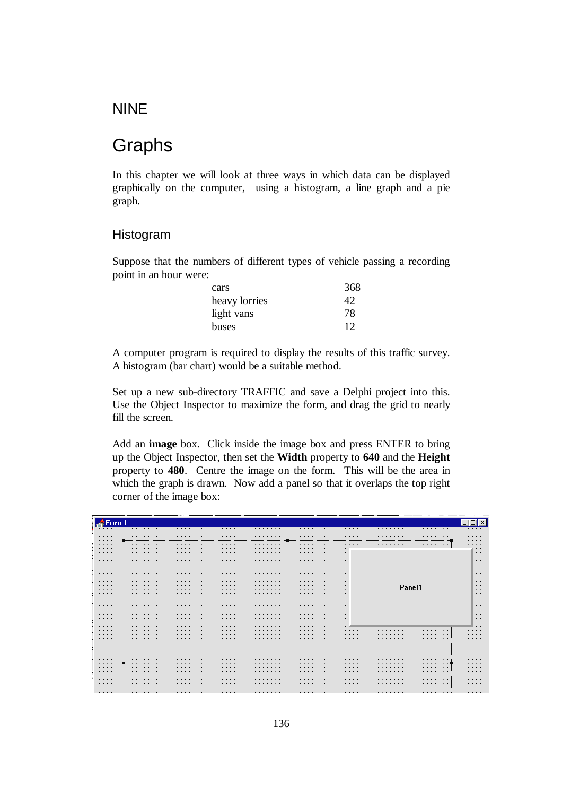### NINE

# Graphs

In this chapter we will look at three ways in which data can be displayed graphically on the computer, using a histogram, a line graph and a pie graph.

### Histogram

Suppose that the numbers of different types of vehicle passing a recording point in an hour were:

| cars          | 368 |
|---------------|-----|
| heavy lorries |     |
| light vans    | 78  |
| buses         | 12  |

A computer program is required to display the results of this traffic survey. A histogram (bar chart) would be a suitable method.

Set up a new sub-directory TRAFFIC and save a Delphi project into this. Use the Object Inspector to maximize the form, and drag the grid to nearly fill the screen.

Add an **image** box. Click inside the image box and press ENTER to bring up the Object Inspector, then set the **Width** property to **640** and the **Height** property to **480**. Centre the image on the form. This will be the area in which the graph is drawn. Now add a panel so that it overlaps the top right corner of the image box:

| Form1                                                                                      |                                                 |
|--------------------------------------------------------------------------------------------|-------------------------------------------------|
|                                                                                            |                                                 |
| .<br>.<br>$\cdots$<br>.<br>.<br>.<br>.                                                     | .<br>.<br>$\cdots$                              |
| .                                                                                          | $\cdots$<br>$\cdots$<br>$\cdots$                |
| .<br>$\sim$ $\sim$ $\sim$<br>$\sim$ $\sim$ $\sim$<br>.                                     | $\cdots$<br>$\cdots$<br>$\cdots$                |
| .<br>$\sim$<br>.                                                                           | $\cdots$<br>$\cdots$<br>Panel1<br>$\cdots$      |
| $\cdots$<br>.                                                                              | $\cdots$<br>$\cdots$<br>$\cdots$<br>$\cdots$    |
| $\cdots$<br>.<br>.<br>.<br>.<br>.<br>.                                                     | $\cdots$<br>$\cdots$<br>$\cdots$                |
| .<br>$\sim$<br>$\cdots$<br>.                                                               | $\cdots$<br>$\cdots$<br>$  -$                   |
| $\cdots$<br>.<br>$\sim$ $\sim$ $\sim$<br>.                                                 | .<br>.<br>$\cdot$ $\cdot$ $\cdot$<br>.          |
| $\cdots$<br>$\sim$ $\sim$<br>$\cdots$                                                      | .<br>.<br>a.                                    |
| $\sim$ $\sim$ $\sim$<br>$\sim$ $\sim$ $\sim$<br>.                                          | $\cdots$                                        |
| $\cdots$<br>$\sim$ $\sim$ $\sim$ $\sim$<br>.<br>$\cdots$<br>$\sim$ $\sim$ $\sim$<br>.<br>. | $\cdot$ $\cdot$ $\cdot$<br>$\sim$ $\sim$ $\sim$ |
| .<br>$\cdots$<br>$\cdots$<br>$\cdots$<br>$\cdots$<br>.                                     | .<br>$\cdots$                                   |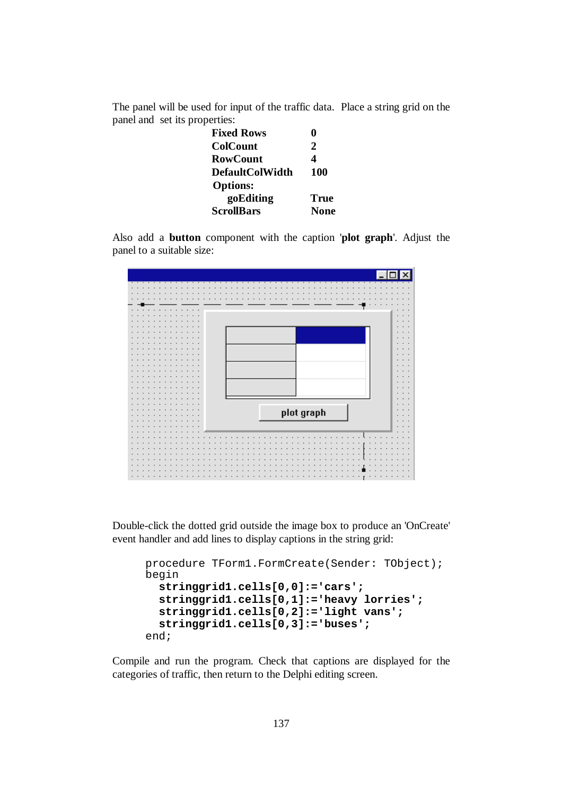The panel will be used for input of the traffic data. Place a string grid on the panel and set its properties:

| <b>Fixed Rows</b>      |             |
|------------------------|-------------|
| <b>ColCount</b>        | 2           |
| <b>RowCount</b>        |             |
| <b>DefaultColWidth</b> | 100         |
| <b>Options:</b>        |             |
| goEditing              | True        |
| <b>ScrollBars</b>      | <b>None</b> |

Also add a **button** component with the caption '**plot graph**'. Adjust the panel to a suitable size:



Double-click the dotted grid outside the image box to produce an 'OnCreate' event handler and add lines to display captions in the string grid:

```
procedure TForm1.FormCreate(Sender: TObject); 
begin 
   stringgrid1.cells[0,0]:='cars'; 
   stringgrid1.cells[0,1]:='heavy lorries'; 
   stringgrid1.cells[0,2]:='light vans'; 
   stringgrid1.cells[0,3]:='buses'; 
end;
```
Compile and run the program. Check that captions are displayed for the categories of traffic, then return to the Delphi editing screen.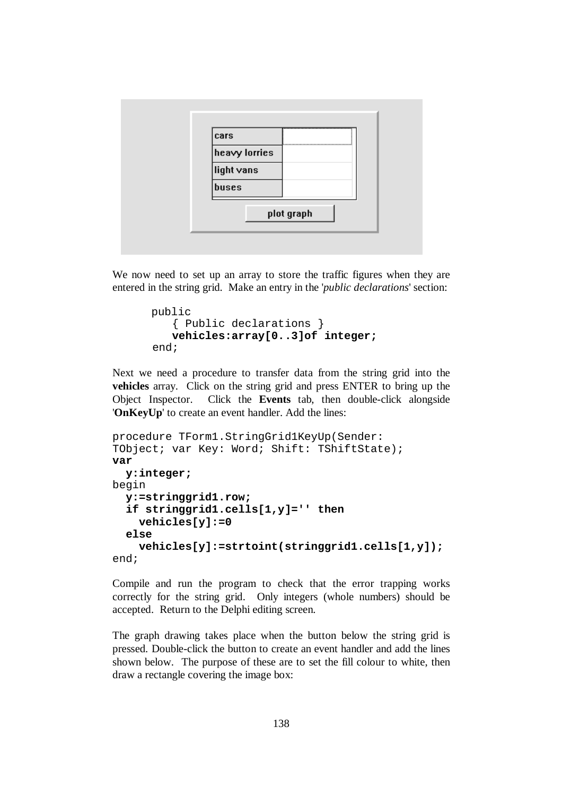

We now need to set up an array to store the traffic figures when they are entered in the string grid. Make an entry in the '*public declarations*' section:

```
 public 
    { Public declarations } 
    vehicles:array[0..3]of integer; 
 end;
```
Next we need a procedure to transfer data from the string grid into the **vehicles** array. Click on the string grid and press ENTER to bring up the Object Inspector. Click the **Events** tab, then double-click alongside '**OnKeyUp**' to create an event handler. Add the lines:

```
procedure TForm1.StringGrid1KeyUp(Sender: 
TObject; var Key: Word; Shift: TShiftState); 
var 
   y:integer; 
begin 
   y:=stringgrid1.row; 
   if stringgrid1.cells[1,y]='' then 
     vehicles[y]:=0 
   else 
     vehicles[y]:=strtoint(stringgrid1.cells[1,y]); 
end;
```
Compile and run the program to check that the error trapping works correctly for the string grid. Only integers (whole numbers) should be accepted. Return to the Delphi editing screen.

The graph drawing takes place when the button below the string grid is pressed. Double-click the button to create an event handler and add the lines shown below. The purpose of these are to set the fill colour to white, then draw a rectangle covering the image box: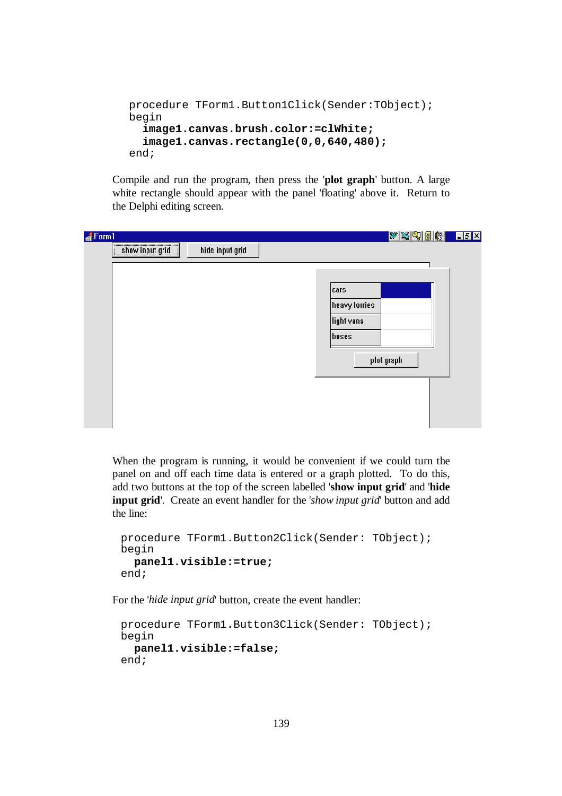```
procedure TForm1.Button1Click(Sender:TObject); 
begin 
   image1.canvas.brush.color:=clWhite; 
   image1.canvas.rectangle(0,0,640,480); 
end;
```
Compile and run the program, then press the '**plot graph**' button. A large white rectangle should appear with the panel 'floating' above it. Return to the Delphi editing screen.

| $\triangle$ Form 1<br>show input grid<br>hide input grid<br>cars<br>heavy lorries | <u>WXQDBBLIER</u> |
|-----------------------------------------------------------------------------------|-------------------|
|                                                                                   |                   |
|                                                                                   |                   |
|                                                                                   |                   |
|                                                                                   |                   |
|                                                                                   |                   |
| light vans                                                                        |                   |
| buses                                                                             |                   |
|                                                                                   |                   |
| plot graph                                                                        |                   |
|                                                                                   |                   |
|                                                                                   |                   |
|                                                                                   |                   |
|                                                                                   |                   |

When the program is running, it would be convenient if we could turn the panel on and off each time data is entered or a graph plotted. To do this, add two buttons at the top of the screen labelled '**show input grid**' and '**hide input grid**'. Create an event handler for the '*show input grid*' button and add the line:

```
procedure TForm1.Button2Click(Sender: TObject); 
begin 
   panel1.visible:=true; 
end;
```
For the '*hide input grid*' button, create the event handler:

```
procedure TForm1.Button3Click(Sender: TObject); 
begin 
   panel1.visible:=false;
end;
```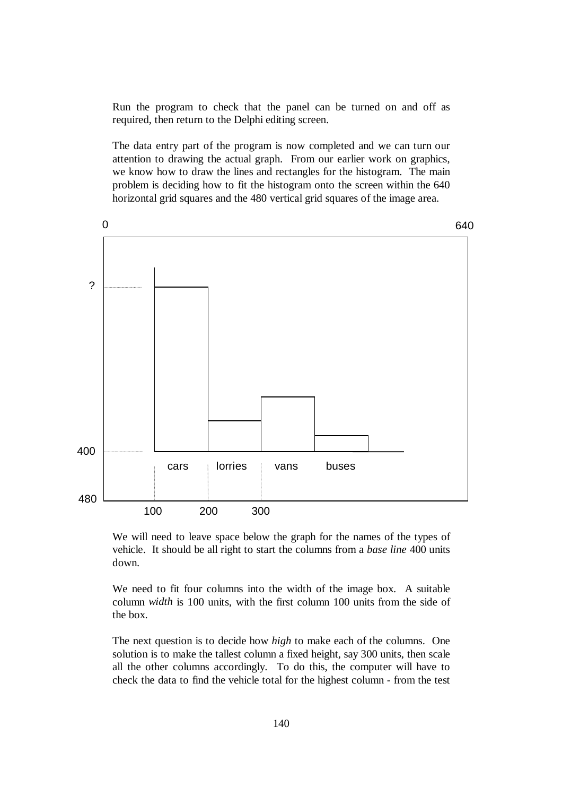Run the program to check that the panel can be turned on and off as required, then return to the Delphi editing screen.

The data entry part of the program is now completed and we can turn our attention to drawing the actual graph. From our earlier work on graphics, we know how to draw the lines and rectangles for the histogram. The main problem is deciding how to fit the histogram onto the screen within the 640 horizontal grid squares and the 480 vertical grid squares of the image area.



We will need to leave space below the graph for the names of the types of vehicle. It should be all right to start the columns from a *base line* 400 units down.

We need to fit four columns into the width of the image box. A suitable column *width* is 100 units, with the first column 100 units from the side of the box.

The next question is to decide how *high* to make each of the columns. One solution is to make the tallest column a fixed height, say 300 units, then scale all the other columns accordingly. To do this, the computer will have to check the data to find the vehicle total for the highest column - from the test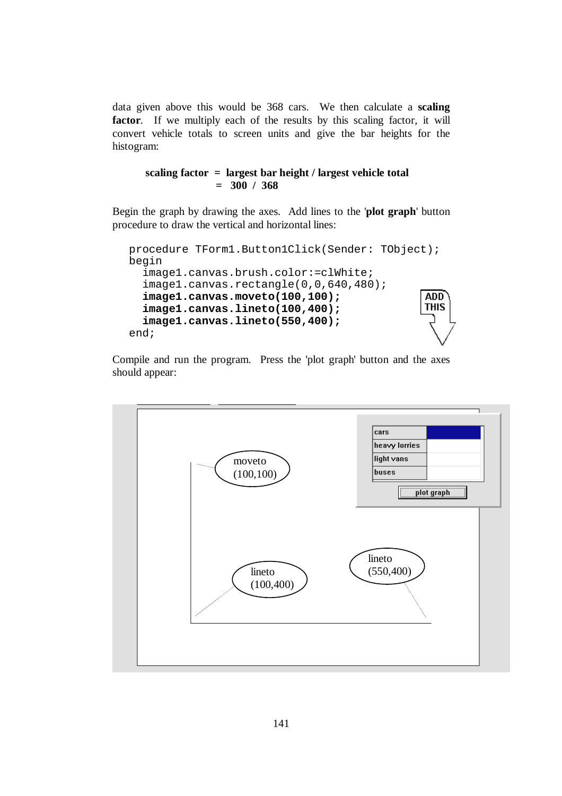data given above this would be 368 cars. We then calculate a **scaling**  factor. If we multiply each of the results by this scaling factor, it will convert vehicle totals to screen units and give the bar heights for the histogram:

**scaling factor = largest bar height / largest vehicle total = 300 / 368**

Begin the graph by drawing the axes. Add lines to the '**plot graph**' button procedure to draw the vertical and horizontal lines:

```
procedure TForm1.Button1Click(Sender: TObject); 
begin 
   image1.canvas.brush.color:=clWhite; 
   image1.canvas.rectangle(0,0,640,480); 
   image1.canvas.moveto(100,100); 
                                                   ADD<sup>-</sup>
                                                   THIS
   image1.canvas.lineto(100,400); 
   image1.canvas.lineto(550,400); 
end;
```
Compile and run the program. Press the 'plot graph' button and the axes should appear:

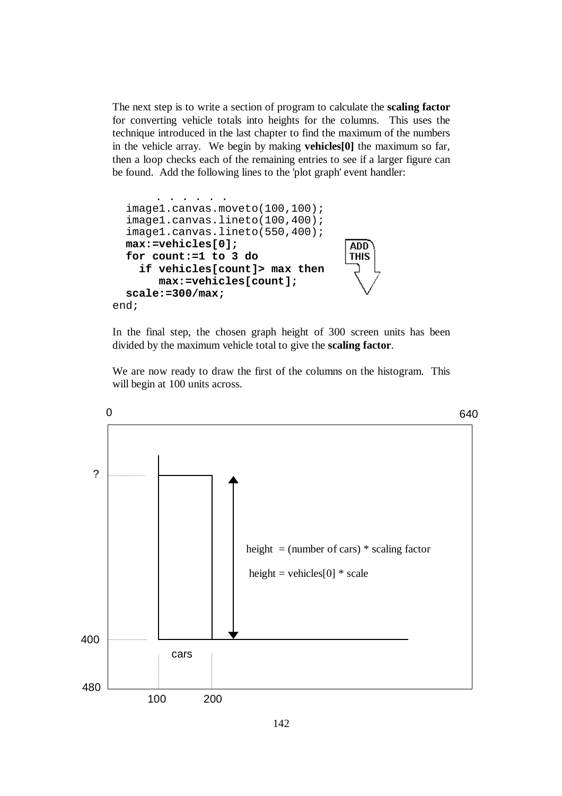The next step is to write a section of program to calculate the **scaling factor** for converting vehicle totals into heights for the columns. This uses the technique introduced in the last chapter to find the maximum of the numbers in the vehicle array. We begin by making **vehicles[0]** the maximum so far, then a loop checks each of the remaining entries to see if a larger figure can be found. Add the following lines to the 'plot graph' event handler:



In the final step, the chosen graph height of 300 screen units has been divided by the maximum vehicle total to give the **scaling factor**.

We are now ready to draw the first of the columns on the histogram. This will begin at 100 units across.

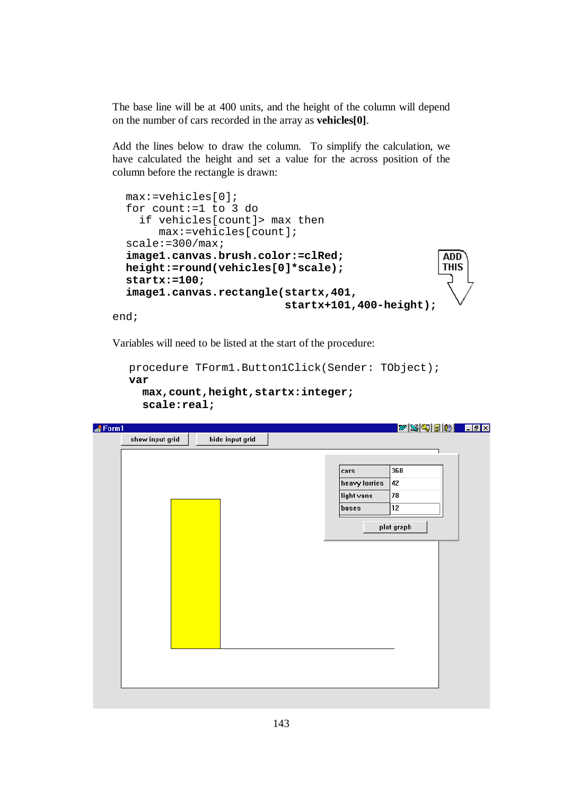The base line will be at 400 units, and the height of the column will depend on the number of cars recorded in the array as **vehicles[0]**.

Add the lines below to draw the column. To simplify the calculation, we have calculated the height and set a value for the across position of the column before the rectangle is drawn:

```
 max:=vehicles[0]; 
 for count:=1 to 3 do 
   if vehicles[count]> max then 
      max:=vehicles[count]; 
scale:=300/max; image1.canvas.brush.color:=clRed; 
                                                       ADD<sup>-</sup>
                                                       THIS
 height:=round(vehicles[0]*scale); 
 startx:=100; 
 image1.canvas.rectangle(startx,401, 
                            startx+101,400-height);
```
end;

Variables will need to be listed at the start of the procedure:

```
procedure TForm1.Button1Click(Sender: TObject); 
var 
   max,count,height,startx:integer; 
   scale:real;
```
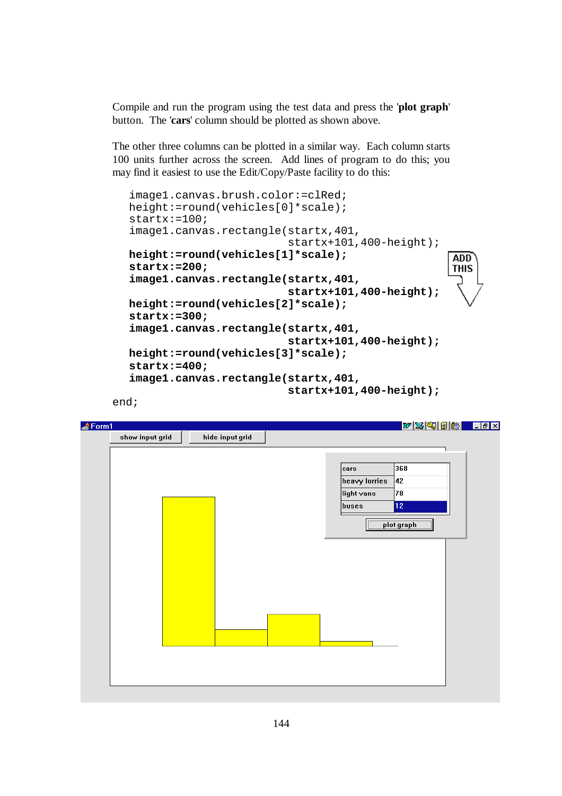Compile and run the program using the test data and press the '**plot graph**' button. The '**cars**' column should be plotted as shown above.

The other three columns can be plotted in a similar way. Each column starts 100 units further across the screen. Add lines of program to do this; you may find it easiest to use the Edit/Copy/Paste facility to do this:

```
image1.canvas.brush.color:=clRed; 
height:=round(vehicles[0]*scale); 
startx:=100; 
image1.canvas.rectangle(startx,401, 
                           startx+101,400-height); 
height:=round(vehicles[1]*scale); 
                                                     ADD
startx:=200; 
                                                    THIS
image1.canvas.rectangle(startx,401, 
                           startx+101,400-height); 
height:=round(vehicles[2]*scale); 
startx:=300; 
image1.canvas.rectangle(startx,401, 
                           startx+101,400-height); 
height:=round(vehicles[3]*scale); 
startx:=400; 
image1.canvas.rectangle(startx,401, 
                           startx+101,400-height);
```
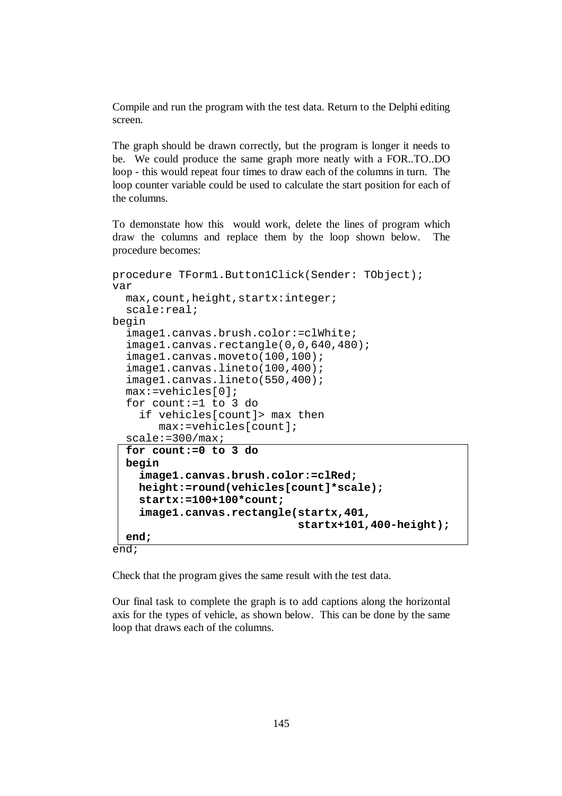Compile and run the program with the test data. Return to the Delphi editing screen.

The graph should be drawn correctly, but the program is longer it needs to be. We could produce the same graph more neatly with a FOR..TO..DO loop - this would repeat four times to draw each of the columns in turn. The loop counter variable could be used to calculate the start position for each of the columns.

To demonstate how this would work, delete the lines of program which draw the columns and replace them by the loop shown below. The procedure becomes:

```
procedure TForm1.Button1Click(Sender: TObject); 
var 
   max,count,height,startx:integer; 
   scale:real; 
begin 
   image1.canvas.brush.color:=clWhite; 
   image1.canvas.rectangle(0,0,640,480); 
   image1.canvas.moveto(100,100); 
   image1.canvas.lineto(100,400); 
   image1.canvas.lineto(550,400); 
   max:=vehicles[0]; 
   for count:=1 to 3 do 
     if vehicles[count]> max then 
        max:=vehicles[count]; 
   scale:=300/max; 
   for count:=0 to 3 do 
   begin 
     image1.canvas.brush.color:=clRed; 
     height:=round(vehicles[count]*scale); 
     startx:=100+100*count; 
     image1.canvas.rectangle(startx,401, 
                                startx+101,400-height);
   end; 
end;
```
Check that the program gives the same result with the test data.

Our final task to complete the graph is to add captions along the horizontal axis for the types of vehicle, as shown below. This can be done by the same loop that draws each of the columns.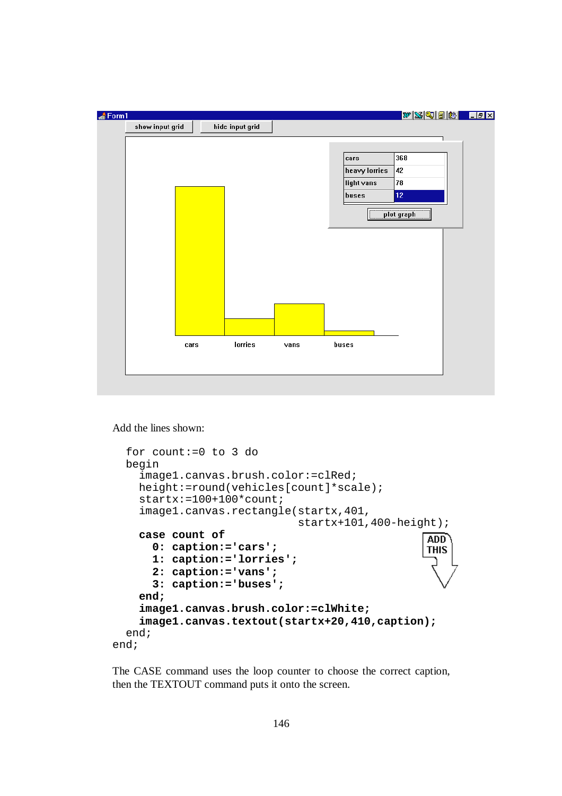

Add the lines shown:

```
 for count:=0 to 3 do 
   begin 
     image1.canvas.brush.color:=clRed; 
     height:=round(vehicles[count]*scale); 
     startx:=100+100*count; 
     image1.canvas.rectangle(startx,401, 
                                startx+101,400-height);
     case count of 
                                                     ADD
       0: caption:='cars'; 
                                                     THIS
       1: caption:='lorries'; 
       2: caption:='vans'; 
       3: caption:='buses'; 
     end; 
     image1.canvas.brush.color:=clWhite; 
     image1.canvas.textout(startx+20,410,caption); 
   end; 
end;
```
The CASE command uses the loop counter to choose the correct caption, then the TEXTOUT command puts it onto the screen.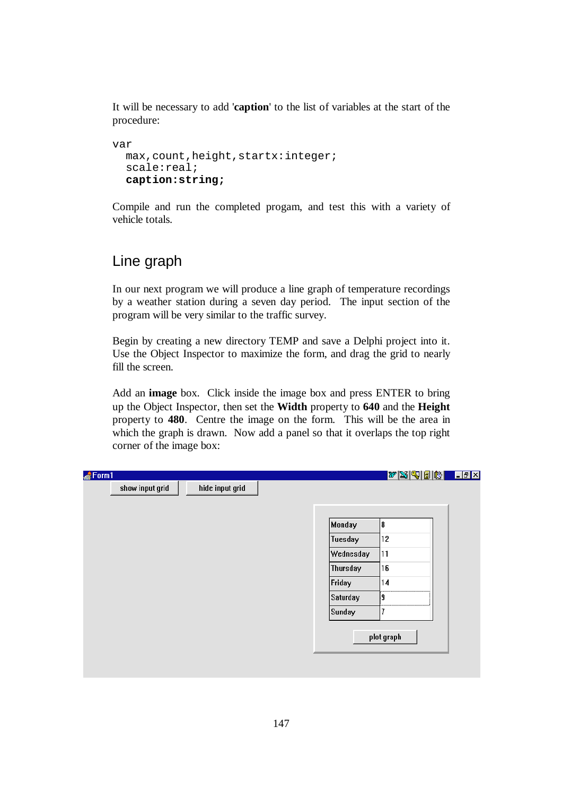It will be necessary to add '**caption**' to the list of variables at the start of the procedure:

```
var 
   max,count,height,startx:integer; 
   scale:real; 
   caption:string;
```
Compile and run the completed progam, and test this with a variety of vehicle totals.

## Line graph

In our next program we will produce a line graph of temperature recordings by a weather station during a seven day period. The input section of the program will be very similar to the traffic survey.

Begin by creating a new directory TEMP and save a Delphi project into it. Use the Object Inspector to maximize the form, and drag the grid to nearly fill the screen.

Add an **image** box. Click inside the image box and press ENTER to bring up the Object Inspector, then set the **Width** property to **640** and the **Height** property to **480**. Centre the image on the form. This will be the area in which the graph is drawn. Now add a panel so that it overlaps the top right corner of the image box:

| Form1           |                 |                 | WSGBB <del>B</del> LEX |  |
|-----------------|-----------------|-----------------|------------------------|--|
| show input grid | hide input grid |                 |                        |  |
|                 |                 |                 |                        |  |
|                 |                 | Monday          | 8                      |  |
|                 |                 | Tuesday         | 12                     |  |
|                 |                 | Wednesday       | 11                     |  |
|                 |                 | Thursday        | 16                     |  |
|                 |                 | Friday          | 14                     |  |
|                 |                 | <b>Saturday</b> | <br>9                  |  |
|                 |                 | Sunday          | <br>7                  |  |
|                 |                 |                 |                        |  |
|                 |                 |                 | plot graph             |  |
|                 |                 |                 |                        |  |
|                 |                 |                 |                        |  |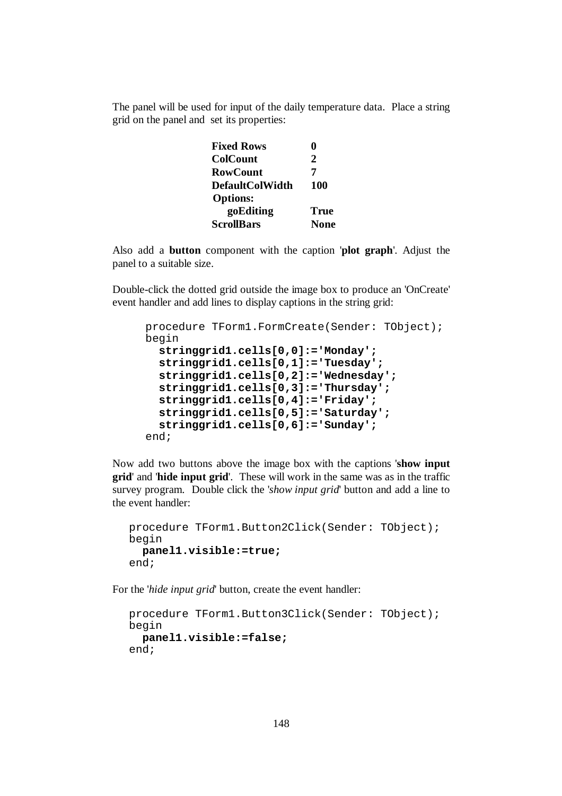The panel will be used for input of the daily temperature data. Place a string grid on the panel and set its properties:

| <b>Fixed Rows</b>      |             |
|------------------------|-------------|
| <b>ColCount</b>        | 2           |
| <b>RowCount</b>        |             |
| <b>DefaultColWidth</b> | 100         |
| <b>Options:</b>        |             |
| goEditing              | <b>True</b> |
| <b>ScrollBars</b>      | <b>None</b> |

Also add a **button** component with the caption '**plot graph**'. Adjust the panel to a suitable size.

Double-click the dotted grid outside the image box to produce an 'OnCreate' event handler and add lines to display captions in the string grid:

```
procedure TForm1.FormCreate(Sender: TObject); 
begin 
   stringgrid1.cells[0,0]:='Monday'; 
   stringgrid1.cells[0,1]:='Tuesday'; 
   stringgrid1.cells[0,2]:='Wednesday'; 
   stringgrid1.cells[0,3]:='Thursday'; 
   stringgrid1.cells[0,4]:='Friday'; 
   stringgrid1.cells[0,5]:='Saturday'; 
   stringgrid1.cells[0,6]:='Sunday'; 
end;
```
Now add two buttons above the image box with the captions '**show input grid**' and '**hide input grid**'. These will work in the same was as in the traffic survey program. Double click the '*show input grid*' button and add a line to the event handler:

```
procedure TForm1.Button2Click(Sender: TObject); 
begin 
   panel1.visible:=true; 
end;
```
For the '*hide input grid*' button, create the event handler:

```
procedure TForm1.Button3Click(Sender: TObject); 
begin 
   panel1.visible:=false;
end;
```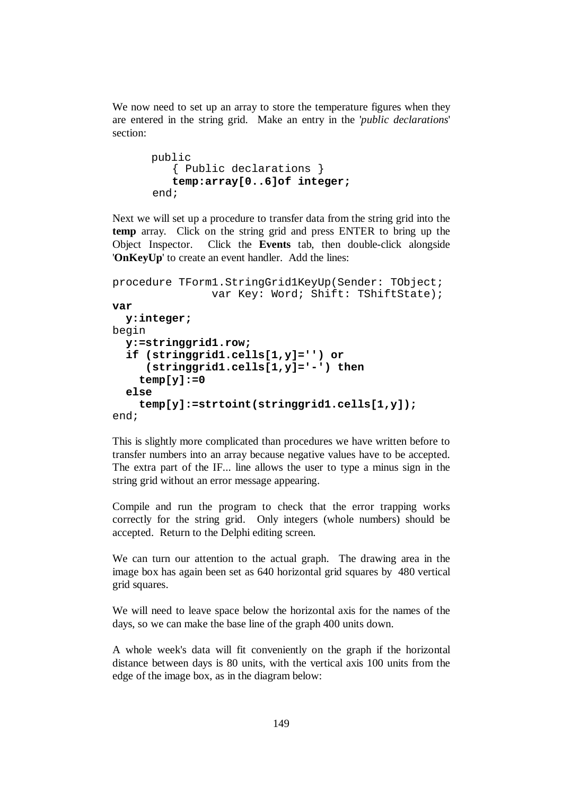We now need to set up an array to store the temperature figures when they are entered in the string grid. Make an entry in the '*public declarations*' section:

```
 public 
    { Public declarations } 
    temp:array[0..6]of integer; 
 end;
```
Next we will set up a procedure to transfer data from the string grid into the **temp** array. Click on the string grid and press ENTER to bring up the Object Inspector. Click the **Events** tab, then double-click alongside '**OnKeyUp**' to create an event handler. Add the lines:

```
procedure TForm1.StringGrid1KeyUp(Sender: TObject; 
                var Key: Word; Shift: TShiftState);
var 
   y:integer; 
begin 
   y:=stringgrid1.row; 
   if (stringgrid1.cells[1,y]='') or 
      (stringgrid1.cells[1,y]='-') then 
     temp[y]:=0 
   else 
     temp[y]:=strtoint(stringgrid1.cells[1,y]); 
end;
```
This is slightly more complicated than procedures we have written before to transfer numbers into an array because negative values have to be accepted. The extra part of the IF... line allows the user to type a minus sign in the string grid without an error message appearing.

Compile and run the program to check that the error trapping works correctly for the string grid. Only integers (whole numbers) should be accepted. Return to the Delphi editing screen.

We can turn our attention to the actual graph. The drawing area in the image box has again been set as 640 horizontal grid squares by 480 vertical grid squares.

We will need to leave space below the horizontal axis for the names of the days, so we can make the base line of the graph 400 units down.

A whole week's data will fit conveniently on the graph if the horizontal distance between days is 80 units, with the vertical axis 100 units from the edge of the image box, as in the diagram below: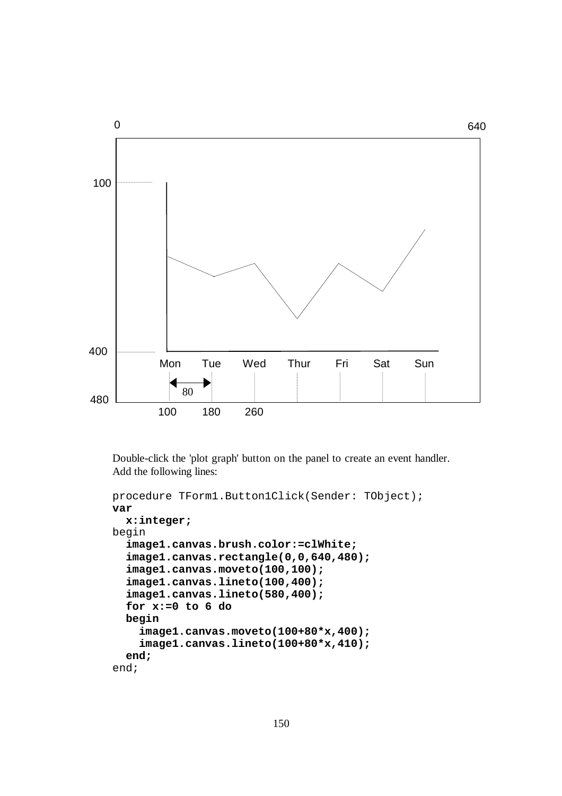

Double-click the 'plot graph' button on the panel to create an event handler. Add the following lines:

```
procedure TForm1.Button1Click(Sender: TObject); 
var 
   x:integer; 
begin 
   image1.canvas.brush.color:=clWhite; 
   image1.canvas.rectangle(0,0,640,480); 
   image1.canvas.moveto(100,100); 
   image1.canvas.lineto(100,400); 
   image1.canvas.lineto(580,400); 
   for x:=0 to 6 do 
   begin 
     image1.canvas.moveto(100+80*x,400); 
     image1.canvas.lineto(100+80*x,410); 
   end; 
end;
```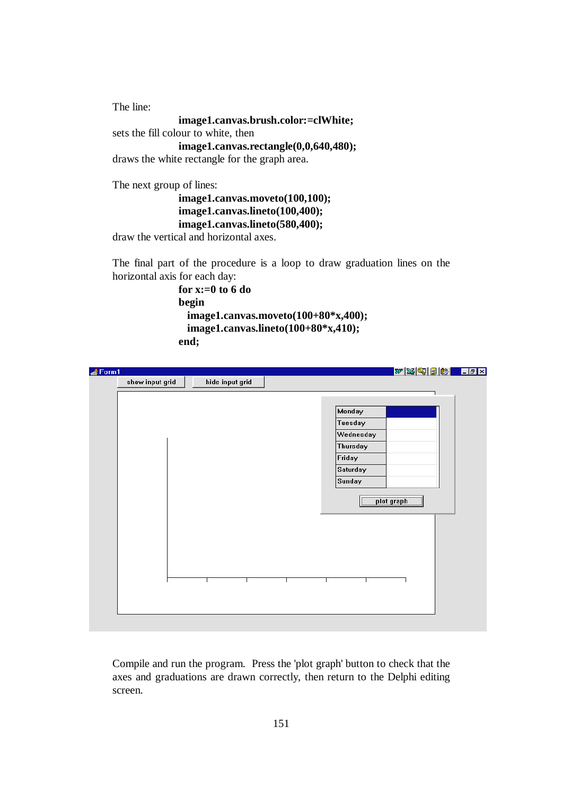The line: **image1.canvas.brush.color:=clWhite;**  sets the fill colour to white, then **image1.canvas.rectangle(0,0,640,480);**  draws the white rectangle for the graph area. The next group of lines:

```
image1.canvas.moveto(100,100); 
image1.canvas.lineto(100,400); 
image1.canvas.lineto(580,400);
```
draw the vertical and horizontal axes.

The final part of the procedure is a loop to draw graduation lines on the horizontal axis for each day:

```
for x:=0 to 6 do 
begin 
  image1.canvas.moveto(100+80*x,400); 
  image1.canvas.lineto(100+80*x,410); 
end;
```

| Form1 |                 |                 |  |           | <u>WSGBBFFBX</u> |  |
|-------|-----------------|-----------------|--|-----------|------------------|--|
|       | show input grid | hide input grid |  |           |                  |  |
|       |                 |                 |  |           |                  |  |
|       |                 |                 |  |           |                  |  |
|       |                 |                 |  | Monday    |                  |  |
|       |                 |                 |  | Tuesday   |                  |  |
|       |                 |                 |  | Wednesday |                  |  |
|       |                 |                 |  | Thursday  |                  |  |
|       |                 |                 |  | Friday    |                  |  |
|       |                 |                 |  | Saturday  |                  |  |
|       |                 |                 |  | Sunday    |                  |  |
|       |                 |                 |  |           | plot graph       |  |
|       |                 |                 |  |           |                  |  |
|       |                 |                 |  |           |                  |  |
|       |                 |                 |  |           |                  |  |
|       |                 |                 |  |           |                  |  |
|       |                 |                 |  |           |                  |  |
|       |                 |                 |  |           |                  |  |
|       |                 |                 |  |           |                  |  |
|       |                 |                 |  |           |                  |  |
|       |                 |                 |  |           |                  |  |
|       |                 |                 |  |           |                  |  |

Compile and run the program. Press the 'plot graph' button to check that the axes and graduations are drawn correctly, then return to the Delphi editing screen.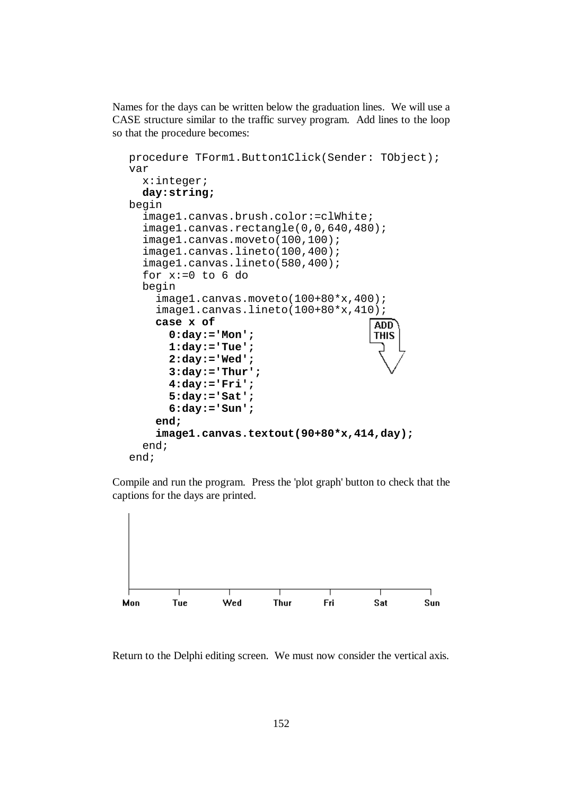Names for the days can be written below the graduation lines. We will use a CASE structure similar to the traffic survey program. Add lines to the loop so that the procedure becomes:

```
procedure TForm1.Button1Click(Sender: TObject); 
var 
   x:integer; 
   day:string; 
begin 
   image1.canvas.brush.color:=clWhite; 
   image1.canvas.rectangle(0,0,640,480); 
   image1.canvas.moveto(100,100); 
   image1.canvas.lineto(100,400); 
   image1.canvas.lineto(580,400); 
  for x:=0 to 6 do
   begin 
     image1.canvas.moveto(100+80*x,400); 
     image1.canvas.lineto(100+80*x,410); 
     case x of 
                                           ADD<sup>-</sup>
        0:day:='Mon'; 
                                           THIS
        1:day:='Tue'; 
        2:day:='Wed'; 
        3:day:='Thur'; 
        4:day:='Fri'; 
        5:day:='Sat'; 
        6:day:='Sun'; 
     end; 
     image1.canvas.textout(90+80*x,414,day); 
   end; 
end;
```
Compile and run the program. Press the 'plot graph' button to check that the captions for the days are printed.



Return to the Delphi editing screen. We must now consider the vertical axis.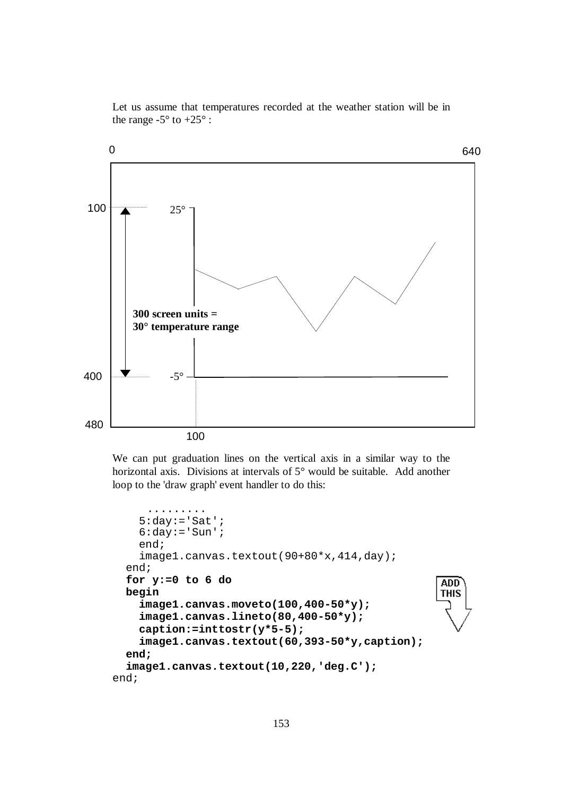Let us assume that temperatures recorded at the weather station will be in the range  $-5^\circ$  to  $+25^\circ$ :



We can put graduation lines on the vertical axis in a similar way to the horizontal axis. Divisions at intervals of 5° would be suitable. Add another loop to the 'draw graph' event handler to do this:

```
 .........
    5:day:= 'Sat';
    6:day:='Sum';
     end; 
     image1.canvas.textout(90+80*x,414,day); 
   end; 
   for y:=0 to 6 do 
                                                        ADD
   begin 
                                                        THIS
     image1.canvas.moveto(100,400-50*y); 
     image1.canvas.lineto(80,400-50*y); 
     caption:=inttostr(y*5-5); 
     image1.canvas.textout(60,393-50*y,caption); 
   end; 
   image1.canvas.textout(10,220,'deg.C'); 
end;
```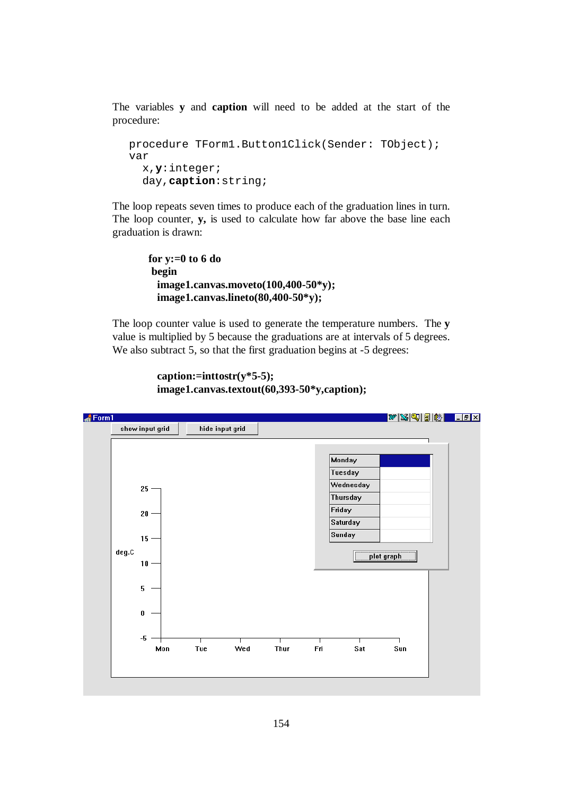The variables **y** and **caption** will need to be added at the start of the procedure:

```
procedure TForm1.Button1Click(Sender: TObject); 
var 
   x,y:integer; 
   day,caption:string;
```
The loop repeats seven times to produce each of the graduation lines in turn. The loop counter, **y,** is used to calculate how far above the base line each graduation is drawn:

```
 for y:=0 to 6 do 
 begin 
  image1.canvas.moveto(100,400-50*y); 
  image1.canvas.lineto(80,400-50*y);
```
The loop counter value is used to generate the temperature numbers. The **y** value is multiplied by 5 because the graduations are at intervals of 5 degrees. We also subtract 5, so that the first graduation begins at -5 degrees:

```
 caption:=inttostr(y*5-5); 
 image1.canvas.textout(60,393-50*y,caption);
```
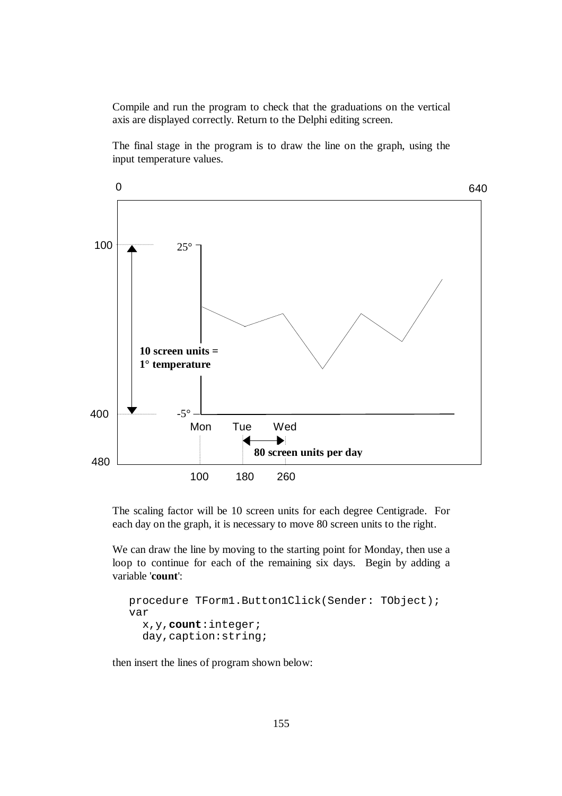Compile and run the program to check that the graduations on the vertical axis are displayed correctly. Return to the Delphi editing screen.

The final stage in the program is to draw the line on the graph, using the input temperature values.



The scaling factor will be 10 screen units for each degree Centigrade. For each day on the graph, it is necessary to move 80 screen units to the right.

We can draw the line by moving to the starting point for Monday, then use a loop to continue for each of the remaining six days. Begin by adding a variable '**count**':

```
procedure TForm1.Button1Click(Sender: TObject); 
var 
   x,y,count:integer; 
   day,caption:string;
```
then insert the lines of program shown below: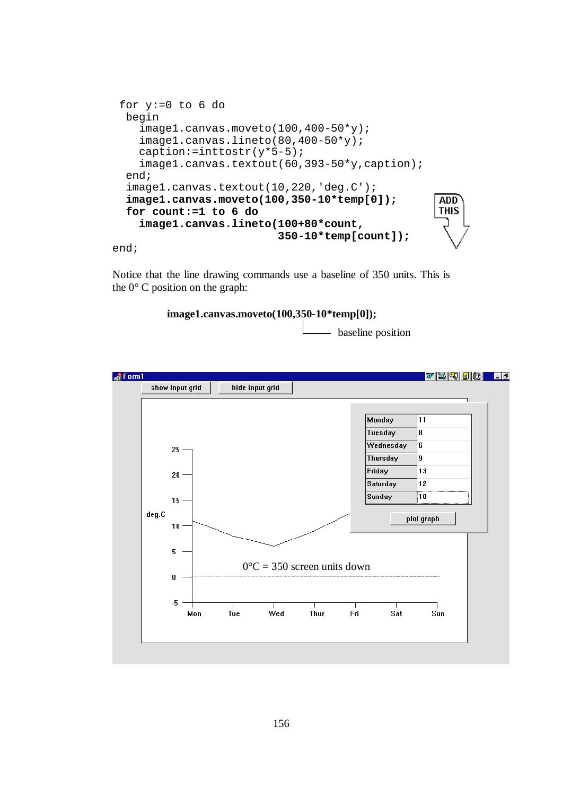```
 for y:=0 to 6 do 
 begin 
    image1.canvas.moveto(100,400-50*y); 
    image1.canvas.lineto(80,400-50*y); 
    caption:=inttostr(y*5-5); 
    image1.canvas.textout(60,393-50*y,caption); 
  end; 
  image1.canvas.textout(10,220,'deg.C'); 
  image1.canvas.moveto(100,350-10*temp[0]); 
                                                     ADD
                                                     THIS
  for count:=1 to 6 do 
    image1.canvas.lineto(100+80*count, 
                           350-10*temp[count]);
```
end;

Notice that the line drawing commands use a baseline of 350 units. This is the  $0^{\circ}$  C position on the graph:



- baseline position

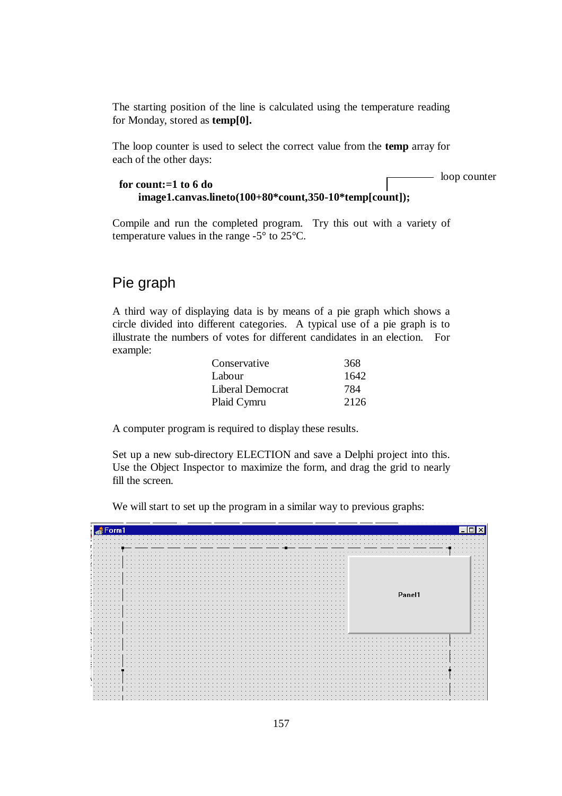The starting position of the line is calculated using the temperature reading for Monday, stored as **temp[0].** 

The loop counter is used to select the correct value from the **temp** array for each of the other days:

```
for count:=1 to 6 do 
    image1.canvas.lineto(100+80*count,350-10*temp[count]);
```
- loop counter

Compile and run the completed program. Try this out with a variety of temperature values in the range -5° to 25°C.

### Pie graph

A third way of displaying data is by means of a pie graph which shows a circle divided into different categories. A typical use of a pie graph is to illustrate the numbers of votes for different candidates in an election. For example:

| Conservative     | 368  |
|------------------|------|
| Labour           | 1642 |
| Liberal Democrat | 784  |
| Plaid Cymru      | 2126 |

A computer program is required to display these results.

Set up a new sub-directory ELECTION and save a Delphi project into this. Use the Object Inspector to maximize the form, and drag the grid to nearly fill the screen.

We will start to set up the program in a similar way to previous graphs:

|                      |                      |                             |                      |        |  |   |  |  |  |  |  |  |  |  |  |                         |  |  |  |        |  |                      |                         |   | .                                               |
|----------------------|----------------------|-----------------------------|----------------------|--------|--|---|--|--|--|--|--|--|--|--|--|-------------------------|--|--|--|--------|--|----------------------|-------------------------|---|-------------------------------------------------|
|                      |                      |                             |                      |        |  |   |  |  |  |  |  |  |  |  |  | .                       |  |  |  |        |  | .                    |                         |   | $\cdots$                                        |
| .<br>.               | $\cdots$             |                             |                      | .<br>. |  |   |  |  |  |  |  |  |  |  |  | .<br>.                  |  |  |  |        |  |                      |                         |   | $\cdots$<br>$\cdots$<br>$\cdots$                |
| .                    | .                    |                             |                      | .      |  |   |  |  |  |  |  |  |  |  |  | .<br>.                  |  |  |  |        |  |                      |                         |   | $\cdots$<br>$\cdots$                            |
| $\sim$               | .<br>.<br>.          |                             |                      | .      |  |   |  |  |  |  |  |  |  |  |  |                         |  |  |  |        |  |                      |                         |   | $\cdots$<br>$\cdot$ $\cdot$ $\cdot$<br>$\cdots$ |
| .                    | .                    |                             | $\cdots$             |        |  |   |  |  |  |  |  |  |  |  |  | $\cdot$ $\cdot$ $\cdot$ |  |  |  | Panel1 |  |                      |                         |   | $\cdots$<br>$\cdots$<br>$\cdots$                |
| .<br>.               |                      | $\sim$ $\sim$ $\sim$        |                      |        |  | . |  |  |  |  |  |  |  |  |  | .<br>.                  |  |  |  |        |  |                      |                         |   | $\cdots$<br>$\cdots$                            |
| .<br>$\cdots$        | .                    |                             | .                    | .      |  |   |  |  |  |  |  |  |  |  |  | .<br>.                  |  |  |  |        |  |                      |                         |   | $\cdots$<br>$\cdots$<br>$\cdots$                |
| .<br>.<br>.          | $\sim$ $\sim$ $\sim$ |                             | $\cdots$             | .      |  |   |  |  |  |  |  |  |  |  |  | .<br>.<br>.             |  |  |  |        |  |                      |                         |   | $\cdots$<br>$\cdots$<br>$\cdots$                |
| .<br>.               | .                    |                             | $\sim$ $\sim$ $\sim$ | .<br>. |  |   |  |  |  |  |  |  |  |  |  |                         |  |  |  |        |  |                      |                         | . | $\cdots$<br>$\cdots$                            |
|                      | $\cdots$             |                             |                      |        |  |   |  |  |  |  |  |  |  |  |  |                         |  |  |  |        |  |                      | $\cdot$ $\cdot$ $\cdot$ |   | $\cdots$<br>$\cdot$ $\cdot$ $\cdot$             |
|                      |                      |                             |                      |        |  |   |  |  |  |  |  |  |  |  |  |                         |  |  |  |        |  |                      |                         |   | $\cdots$                                        |
| $\cdots$<br>.        | .                    | $\sim$ $\sim$ $\sim$ $\sim$ |                      | .<br>. |  |   |  |  |  |  |  |  |  |  |  |                         |  |  |  |        |  | .<br>.               | $\sim$                  |   | $\sim$ $\sim$ $\sim$<br>$\cdots$                |
| $\cdots$<br>$\cdots$ |                      | .                           |                      |        |  |   |  |  |  |  |  |  |  |  |  |                         |  |  |  |        |  | $\sim$ $\sim$ $\sim$ | $\cdots$                |   | $\sim$ $\sim$ $\sim$                            |
| $\cdots$             | .                    | . 1                         | .<br>$\cdots$        |        |  |   |  |  |  |  |  |  |  |  |  |                         |  |  |  |        |  |                      | $\cdots$                |   | $\cdots$<br>$\cdots$                            |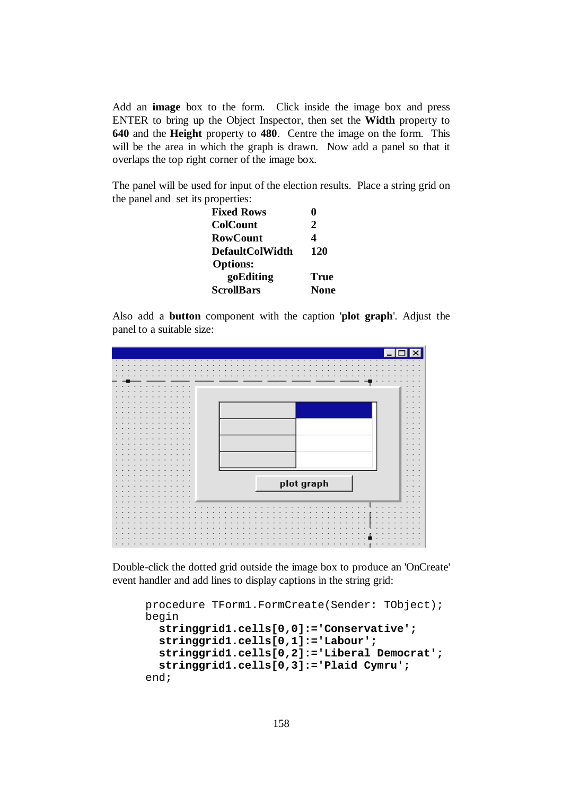Add an **image** box to the form. Click inside the image box and press ENTER to bring up the Object Inspector, then set the **Width** property to **640** and the **Height** property to **480**. Centre the image on the form. This will be the area in which the graph is drawn. Now add a panel so that it overlaps the top right corner of the image box.

The panel will be used for input of the election results. Place a string grid on the panel and set its properties:

| <b>Fixed Rows</b>      |      |
|------------------------|------|
| <b>ColCount</b>        | 2    |
| <b>RowCount</b>        |      |
| <b>DefaultColWidth</b> | 120  |
| <b>Options:</b>        |      |
| goEditing              | True |
| <b>ScrollBars</b>      | None |

Also add a **button** component with the caption '**plot graph**'. Adjust the panel to a suitable size:



Double-click the dotted grid outside the image box to produce an 'OnCreate' event handler and add lines to display captions in the string grid:

```
procedure TForm1.FormCreate(Sender: TObject); 
begin 
   stringgrid1.cells[0,0]:='Conservative'; 
   stringgrid1.cells[0,1]:='Labour'; 
   stringgrid1.cells[0,2]:='Liberal Democrat'; 
   stringgrid1.cells[0,3]:='Plaid Cymru'; 
end;
```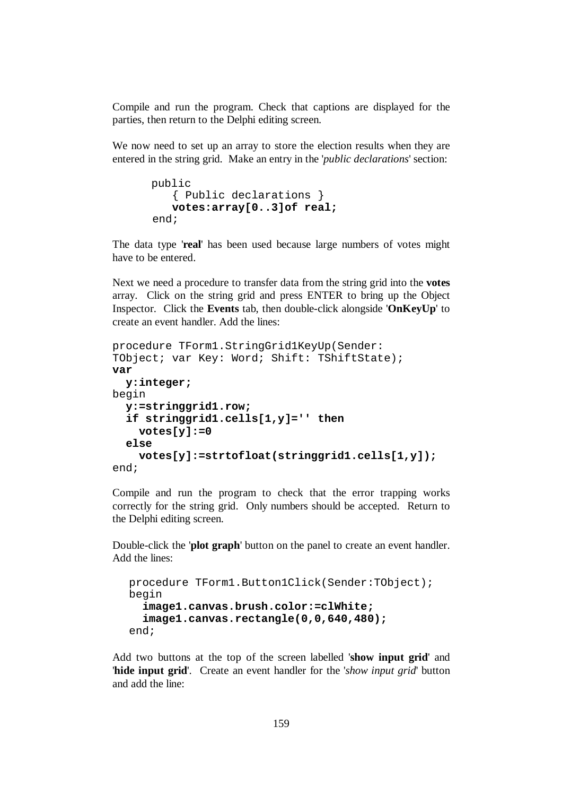Compile and run the program. Check that captions are displayed for the parties, then return to the Delphi editing screen.

We now need to set up an array to store the election results when they are entered in the string grid. Make an entry in the '*public declarations*' section:

```
 public 
    { Public declarations } 
    votes:array[0..3]of real;
 end;
```
The data type '**real**' has been used because large numbers of votes might have to be entered.

Next we need a procedure to transfer data from the string grid into the **votes** array. Click on the string grid and press ENTER to bring up the Object Inspector. Click the **Events** tab, then double-click alongside '**OnKeyUp**' to create an event handler. Add the lines:

```
procedure TForm1.StringGrid1KeyUp(Sender: 
TObject; var Key: Word; Shift: TShiftState); 
var 
   y:integer; 
begin 
   y:=stringgrid1.row; 
   if stringgrid1.cells[1,y]='' then 
     votes[y]:=0 
   else 
     votes[y]:=strtofloat(stringgrid1.cells[1,y]); 
end;
```
Compile and run the program to check that the error trapping works correctly for the string grid. Only numbers should be accepted. Return to the Delphi editing screen.

Double-click the '**plot graph**' button on the panel to create an event handler. Add the lines:

```
procedure TForm1.Button1Click(Sender:TObject); 
begin 
   image1.canvas.brush.color:=clWhite; 
   image1.canvas.rectangle(0,0,640,480); 
end;
```
Add two buttons at the top of the screen labelled '**show input grid**' and '**hide input grid**'. Create an event handler for the '*show input grid*' button and add the line: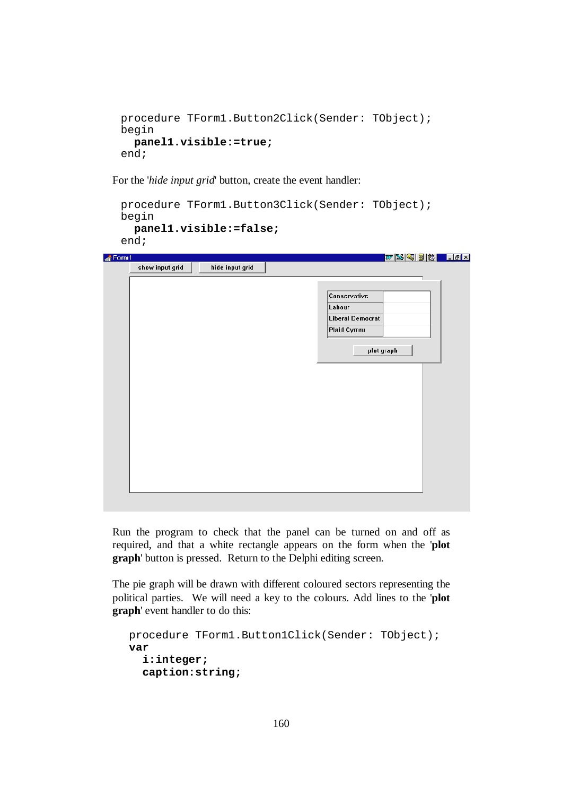```
procedure TForm1.Button2Click(Sender: TObject); 
begin 
   panel1.visible:=true; 
end;
```
For the '*hide input grid*' button, create the event handler:

```
procedure TForm1.Button3Click(Sender: TObject); 
begin 
   panel1.visible:=false;
end;
```

| Form1           |                 |        |                         | WXQBB <mark>ddi</mark> |  |
|-----------------|-----------------|--------|-------------------------|------------------------|--|
| show input grid | hide input grid |        |                         |                        |  |
|                 |                 |        |                         |                        |  |
|                 |                 |        |                         |                        |  |
|                 |                 |        | Conservative            |                        |  |
|                 |                 | Labour |                         |                        |  |
|                 |                 |        | <b>Liberal Democrat</b> |                        |  |
|                 |                 |        | Plaid Cymru             |                        |  |
|                 |                 |        |                         |                        |  |
|                 |                 |        | plot graph              |                        |  |
|                 |                 |        |                         |                        |  |
|                 |                 |        |                         |                        |  |
|                 |                 |        |                         |                        |  |
|                 |                 |        |                         |                        |  |
|                 |                 |        |                         |                        |  |
|                 |                 |        |                         |                        |  |
|                 |                 |        |                         |                        |  |
|                 |                 |        |                         |                        |  |
|                 |                 |        |                         |                        |  |
|                 |                 |        |                         |                        |  |
|                 |                 |        |                         |                        |  |
|                 |                 |        |                         |                        |  |
|                 |                 |        |                         |                        |  |
|                 |                 |        |                         |                        |  |
|                 |                 |        |                         |                        |  |

Run the program to check that the panel can be turned on and off as required, and that a white rectangle appears on the form when the '**plot graph**' button is pressed. Return to the Delphi editing screen.

The pie graph will be drawn with different coloured sectors representing the political parties. We will need a key to the colours. Add lines to the '**plot graph**' event handler to do this:

```
procedure TForm1.Button1Click(Sender: TObject); 
var 
   i:integer; 
   caption:string;
```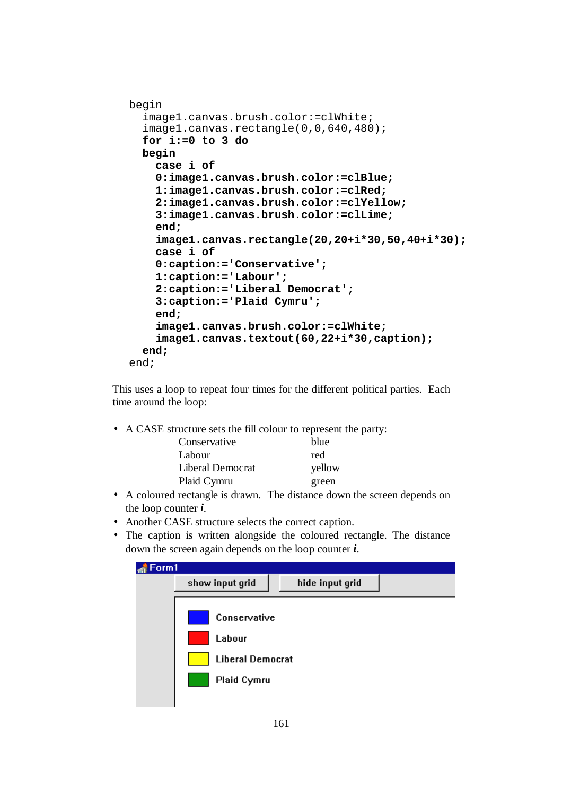```
begin 
   image1.canvas.brush.color:=clWhite; 
   image1.canvas.rectangle(0,0,640,480); 
   for i:=0 to 3 do 
   begin 
     case i of 
     0:image1.canvas.brush.color:=clBlue; 
     1:image1.canvas.brush.color:=clRed; 
     2:image1.canvas.brush.color:=clYellow; 
     3:image1.canvas.brush.color:=clLime; 
     end; 
     image1.canvas.rectangle(20,20+i*30,50,40+i*30);
     case i of 
     0:caption:='Conservative'; 
     1:caption:='Labour'; 
     2:caption:='Liberal Democrat'; 
     3:caption:='Plaid Cymru'; 
     end; 
     image1.canvas.brush.color:=clWhite; 
     image1.canvas.textout(60,22+i*30,caption); 
   end; 
end;
```
This uses a loop to repeat four times for the different political parties. Each time around the loop:

• A CASE structure sets the fill colour to represent the party:

| Conservative     | blue   |
|------------------|--------|
| Labour           | red    |
| Liberal Democrat | yellow |
| Plaid Cymru      | green  |

- A coloured rectangle is drawn. The distance down the screen depends on the loop counter *i*.
- Another CASE structure selects the correct caption.
- The caption is written alongside the coloured rectangle. The distance down the screen again depends on the loop counter *i*.

| Form1 |                                                                         |                 |  |
|-------|-------------------------------------------------------------------------|-----------------|--|
|       | show input grid                                                         | hide input grid |  |
|       | Conservative<br>Labour<br><b>Liberal Democrat</b><br><b>Plaid Cymru</b> |                 |  |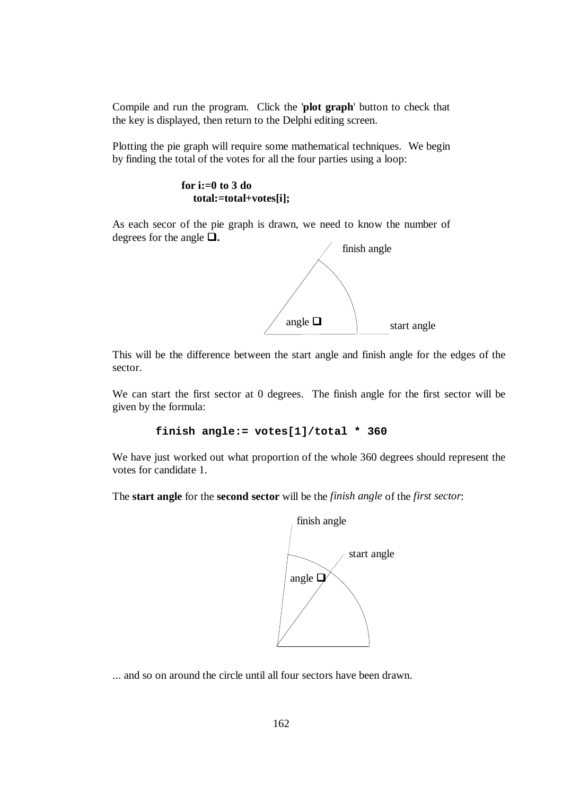Compile and run the program. Click the '**plot graph**' button to check that the key is displayed, then return to the Delphi editing screen.

Plotting the pie graph will require some mathematical techniques. We begin by finding the total of the votes for all the four parties using a loop:

> **for i:=0 to 3 do total:=total+votes[i];**

As each secor of the pie graph is drawn, we need to know the number of degrees for the angle  $\Box$ .



This will be the difference between the start angle and finish angle for the edges of the sector.

We can start the first sector at 0 degrees. The finish angle for the first sector will be given by the formula:

```
 finish angle:= votes[1]/total * 360
```
We have just worked out what proportion of the whole 360 degrees should represent the votes for candidate 1.

The **start angle** for the **second sector** will be the *finish angle* of the *first sector*:



... and so on around the circle until all four sectors have been drawn.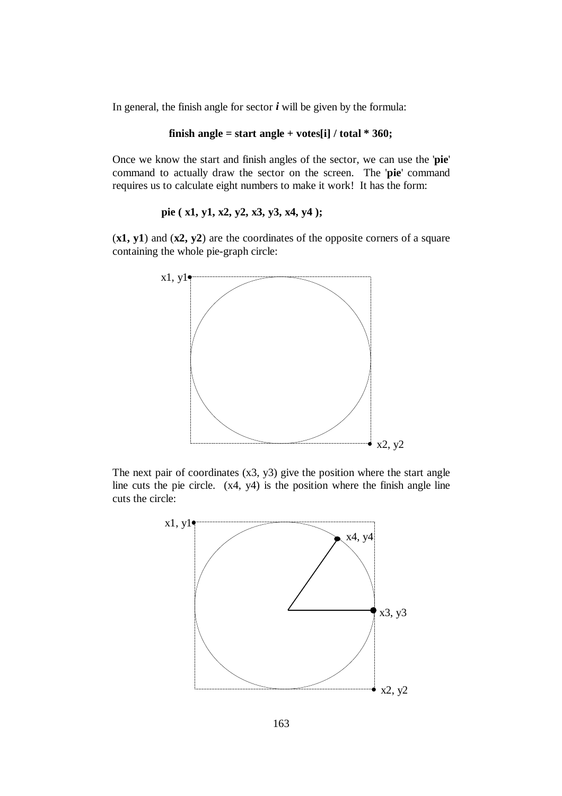In general, the finish angle for sector  $\boldsymbol{i}$  will be given by the formula:

#### **finish angle = start angle + votes[i] / total \* 360;**

Once we know the start and finish angles of the sector, we can use the '**pie**' command to actually draw the sector on the screen. The '**pie**' command requires us to calculate eight numbers to make it work! It has the form:

**pie ( x1, y1, x2, y2, x3, y3, x4, y4 );**

(**x1, y1**) and (**x2, y2**) are the coordinates of the opposite corners of a square containing the whole pie-graph circle:



The next pair of coordinates  $(x3, y3)$  give the position where the start angle line cuts the pie circle. (x4, y4) is the position where the finish angle line cuts the circle:

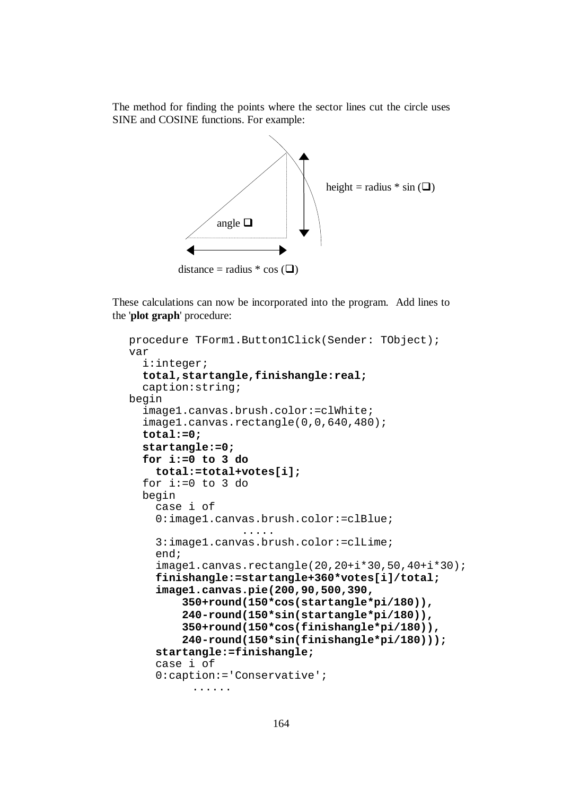The method for finding the points where the sector lines cut the circle uses SINE and COSINE functions. For example:



These calculations can now be incorporated into the program. Add lines to the '**plot graph**' procedure:

```
procedure TForm1.Button1Click(Sender: TObject); 
var 
   i:integer; 
   total,startangle,finishangle:real; 
   caption:string; 
begin 
   image1.canvas.brush.color:=clWhite; 
   image1.canvas.rectangle(0,0,640,480); 
   total:=0; 
   startangle:=0; 
   for i:=0 to 3 do 
     total:=total+votes[i];
   for i:=0 to 3 do 
   begin 
     case i of 
     0:image1.canvas.brush.color:=clBlue; 
                    ..... 
     3:image1.canvas.brush.color:=clLime; 
     end; 
     image1.canvas.rectangle(20,20+i*30,50,40+i*30);
     finishangle:=startangle+360*votes[i]/total; 
     image1.canvas.pie(200,90,500,390, 
          350+round(150*cos(startangle*pi/180)), 
          240-round(150*sin(startangle*pi/180)), 
          350+round(150*cos(finishangle*pi/180)), 
          240-round(150*sin(finishangle*pi/180))); 
     startangle:=finishangle; 
     case i of 
     0:caption:='Conservative'; 
            ......
```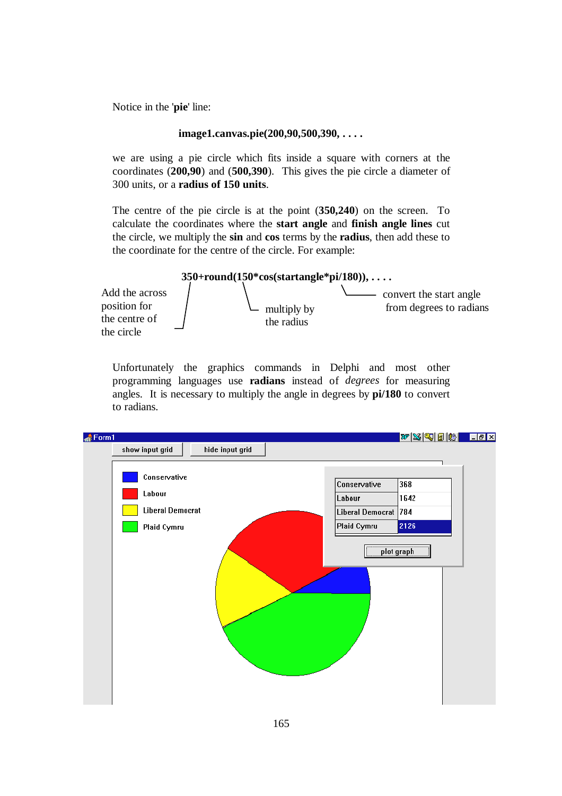Notice in the '**pie**' line:

#### **image1.canvas.pie(200,90,500,390, . . . .**

we are using a pie circle which fits inside a square with corners at the coordinates (**200,90**) and (**500,390**). This gives the pie circle a diameter of 300 units, or a **radius of 150 units**.

The centre of the pie circle is at the point (**350,240**) on the screen. To calculate the coordinates where the **start angle** and **finish angle lines** cut the circle, we multiply the **sin** and **cos** terms by the **radius**, then add these to the coordinate for the centre of the circle. For example:



Unfortunately the graphics commands in Delphi and most other programming languages use **radians** instead of *degrees* for measuring angles. It is necessary to multiply the angle in degrees by **pi/180** to convert to radians.

| $\triangle$ Form1                                                |                                                               | WSGBBLIEX                         |  |
|------------------------------------------------------------------|---------------------------------------------------------------|-----------------------------------|--|
| show input grid<br>hide input grid                               |                                                               |                                   |  |
| Conservative<br>Labour<br><b>Liberal Democrat</b><br>Plaid Cymru | Conservative<br>Labour<br>Liberal Democrat 784<br>Plaid Cymru | 368<br>1642<br>2126<br>plot graph |  |